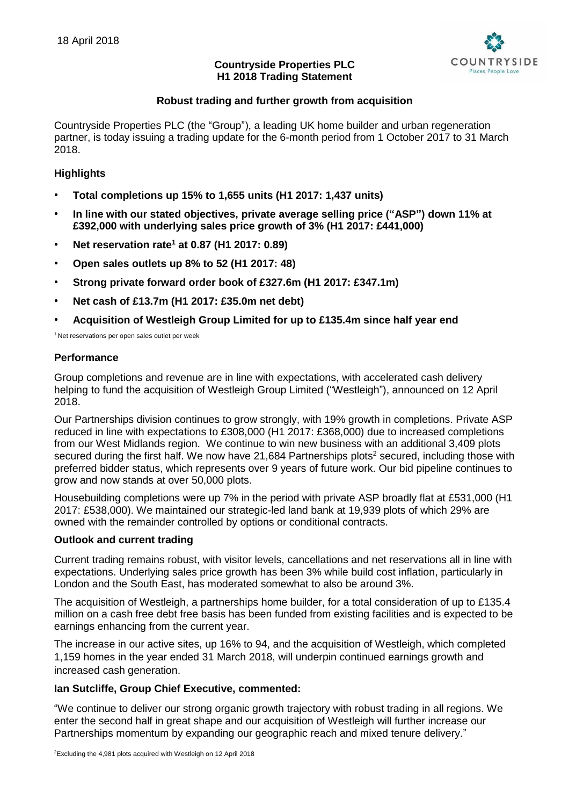

# **Countryside Properties PLC H1 2018 Trading Statement**

# **Robust trading and further growth from acquisition**

Countryside Properties PLC (the "Group"), a leading UK home builder and urban regeneration partner, is today issuing a trading update for the 6-month period from 1 October 2017 to 31 March 2018.

## **Highlights**

- **Total completions up 15% to 1,655 units (H1 2017: 1,437 units)**
- **In line with our stated objectives, private average selling price ("ASP") down 11% at £392,000 with underlying sales price growth of 3% (H1 2017: £441,000)**
- **Net reservation rate<sup>1</sup> at 0.87 (H1 2017: 0.89)**
- **Open sales outlets up 8% to 52 (H1 2017: 48)**
- **Strong private forward order book of £327.6m (H1 2017: £347.1m)**
- **Net cash of £13.7m (H1 2017: £35.0m net debt)**
- **Acquisition of Westleigh Group Limited for up to £135.4m since half year end**

<sup>1</sup> Net reservations per open sales outlet per week

### **Performance**

Group completions and revenue are in line with expectations, with accelerated cash delivery helping to fund the acquisition of Westleigh Group Limited ("Westleigh"), announced on 12 April 2018.

Our Partnerships division continues to grow strongly, with 19% growth in completions. Private ASP reduced in line with expectations to £308,000 (H1 2017: £368,000) due to increased completions from our West Midlands region. We continue to win new business with an additional 3,409 plots secured during the first half. We now have 21,684 Partnerships plots<sup>2</sup> secured, including those with preferred bidder status, which represents over 9 years of future work. Our bid pipeline continues to grow and now stands at over 50,000 plots.

Housebuilding completions were up 7% in the period with private ASP broadly flat at £531,000 (H1 2017: £538,000). We maintained our strategic-led land bank at 19,939 plots of which 29% are owned with the remainder controlled by options or conditional contracts.

#### **Outlook and current trading**

Current trading remains robust, with visitor levels, cancellations and net reservations all in line with expectations. Underlying sales price growth has been 3% while build cost inflation, particularly in London and the South East, has moderated somewhat to also be around 3%.

The acquisition of Westleigh, a partnerships home builder, for a total consideration of up to £135.4 million on a cash free debt free basis has been funded from existing facilities and is expected to be earnings enhancing from the current year.

The increase in our active sites, up 16% to 94, and the acquisition of Westleigh, which completed 1,159 homes in the year ended 31 March 2018, will underpin continued earnings growth and increased cash generation.

#### **Ian Sutcliffe, Group Chief Executive, commented:**

"We continue to deliver our strong organic growth trajectory with robust trading in all regions. We enter the second half in great shape and our acquisition of Westleigh will further increase our Partnerships momentum by expanding our geographic reach and mixed tenure delivery."